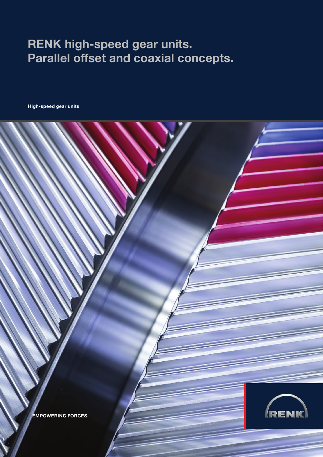## RENK high-speed gear units. Parallel offset and coaxial concepts.

High-speed gear units

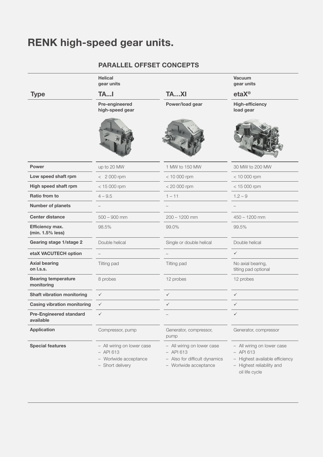# RENK high-speed gear units.

### Parallel OFFSET concepts

|                                             | Helical<br>gear units                                                                  |                                                                                                     | Vacuum<br>gear units                                                                                                       |
|---------------------------------------------|----------------------------------------------------------------------------------------|-----------------------------------------------------------------------------------------------------|----------------------------------------------------------------------------------------------------------------------------|
| <b>Type</b>                                 | <b>TAI</b>                                                                             | TAXI                                                                                                | $etaX^{\circ}$                                                                                                             |
|                                             | Pre-engineered<br>high-speed gear                                                      | Power/load gear                                                                                     | <b>High-efficiency</b><br>load gear                                                                                        |
|                                             |                                                                                        |                                                                                                     |                                                                                                                            |
| Power                                       | up to 20 MW                                                                            | 1 MW to 150 MW                                                                                      | 30 MW to 200 MW                                                                                                            |
| Low speed shaft rpm                         | $< 2000$ rpm                                                                           | $< 10000$ rpm                                                                                       | $< 10000$ rpm                                                                                                              |
| High speed shaft rpm                        | $< 15000$ rpm                                                                          | $< 20 000$ rpm                                                                                      | $< 15000$ rpm                                                                                                              |
| Ratio from to                               | $4 - 9.5$                                                                              | $1 - 11$                                                                                            | $1.2 - 9$                                                                                                                  |
| Number of planets                           | $\overline{\phantom{a}}$                                                               |                                                                                                     | $\hspace{0.1mm}-\hspace{0.1mm}$                                                                                            |
| <b>Center distance</b>                      | $500 - 900$ mm                                                                         | $200 - 1200$ mm                                                                                     | $450 - 1200$ mm                                                                                                            |
| Efficiency max.<br>(min. 1.5% less)         | 98.5%                                                                                  | 99.0%                                                                                               | 99.5%                                                                                                                      |
| Gearing stage 1/stage 2                     | Double helical                                                                         | Single or double helical                                                                            | Double helical                                                                                                             |
| etaX VACUTECH option                        | $\overline{\phantom{m}}$                                                               |                                                                                                     | $\checkmark$                                                                                                               |
| <b>Axial bearing</b><br>on l.s.s.           | Tilting pad                                                                            | Tilting pad                                                                                         | No axial bearing,<br>tilting pad optional                                                                                  |
| <b>Bearing temperature</b><br>monitoring    | 8 probes                                                                               | 12 probes                                                                                           | 12 probes                                                                                                                  |
| <b>Shaft vibration monitoring</b>           | $\checkmark$                                                                           | $\checkmark$                                                                                        | $\checkmark$                                                                                                               |
| <b>Casing vibration monitoring</b>          | $\checkmark$                                                                           | $\checkmark$                                                                                        | $\checkmark$                                                                                                               |
| <b>Pre-Engineered standard</b><br>available | $\checkmark$                                                                           |                                                                                                     | $\checkmark$                                                                                                               |
| Application                                 | Compressor, pump                                                                       | Generator, compressor,<br>pump                                                                      | Generator, compressor                                                                                                      |
| <b>Special features</b>                     | - All wiring on lower case<br>$-$ API 613<br>- Worlwide acceptance<br>- Short delivery | - All wiring on lower case<br>$-$ API 613<br>- Also for difficult dynamics<br>- Worlwide acceptance | - All wiring on lower case<br>$-$ API 613<br>- Highest available efficiency<br>- Highest reliability and<br>oil life cycle |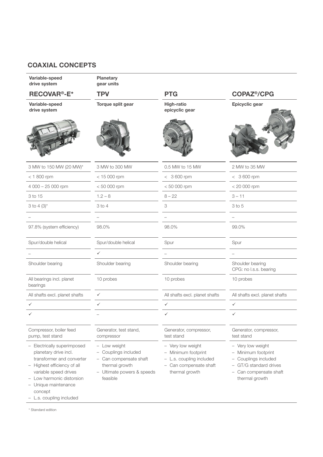### Coaxial concepts

| Variable-speed<br>drive system                                                                                                                                                                                                        | Planetary<br>gear units                                                                                                    |                                                                                                                  |                                                                                                                                        |  |
|---------------------------------------------------------------------------------------------------------------------------------------------------------------------------------------------------------------------------------------|----------------------------------------------------------------------------------------------------------------------------|------------------------------------------------------------------------------------------------------------------|----------------------------------------------------------------------------------------------------------------------------------------|--|
| <b>RECOVAR<sup>®</sup>-E*</b>                                                                                                                                                                                                         | <b>TPV</b>                                                                                                                 | <b>PTG</b>                                                                                                       | <b>COPAZ<sup>®</sup>/CPG</b>                                                                                                           |  |
| Variable-speed<br>drive system                                                                                                                                                                                                        | Torque split gear                                                                                                          | High-ratio<br>epicyclic gear                                                                                     | Epicyclic gear                                                                                                                         |  |
|                                                                                                                                                                                                                                       |                                                                                                                            |                                                                                                                  |                                                                                                                                        |  |
| 3 MW to 150 MW (20 MW)*                                                                                                                                                                                                               | 3 MW to 300 MW                                                                                                             | 0.5 MW to 15 MW                                                                                                  | 2 MW to 35 MW                                                                                                                          |  |
| $<$ 1 800 rpm                                                                                                                                                                                                                         | $< 15000$ rpm                                                                                                              | $< 3600$ rpm                                                                                                     | $< 3600$ rpm                                                                                                                           |  |
| 4 000 - 25 000 rpm                                                                                                                                                                                                                    | $< 50000$ rpm                                                                                                              | $< 50000$ rpm                                                                                                    | $< 20000$ rpm                                                                                                                          |  |
| 3 to 15                                                                                                                                                                                                                               | $1.2 - 8$                                                                                                                  | $8 - 22$                                                                                                         | $3 - 11$                                                                                                                               |  |
| 3 to 4 $(3)^*$                                                                                                                                                                                                                        | 3 to 4                                                                                                                     | 3                                                                                                                | 3 to 5                                                                                                                                 |  |
|                                                                                                                                                                                                                                       | $\overline{\phantom{a}}$                                                                                                   | $\equiv$                                                                                                         | $-$                                                                                                                                    |  |
| 97.8% (system efficiency)                                                                                                                                                                                                             | 98.0%                                                                                                                      | 98.0%                                                                                                            | 99.0%                                                                                                                                  |  |
| Spur/double helical                                                                                                                                                                                                                   | Spur/double helical                                                                                                        | Spur                                                                                                             | Spur                                                                                                                                   |  |
|                                                                                                                                                                                                                                       | $\checkmark$                                                                                                               | $\overline{\phantom{a}}$                                                                                         | $\overline{\phantom{0}}$                                                                                                               |  |
| Shoulder bearing                                                                                                                                                                                                                      | Shoulder bearing                                                                                                           | Shoulder bearing                                                                                                 | Shoulder bearing<br>CPG: no l.s.s. bearing                                                                                             |  |
| All bearings incl. planet<br>bearings                                                                                                                                                                                                 | 10 probes                                                                                                                  | 10 probes                                                                                                        | 10 probes                                                                                                                              |  |
| All shafts excl. planet shafts                                                                                                                                                                                                        | $\checkmark$                                                                                                               | All shafts excl. planet shafts                                                                                   | All shafts excl. planet shafts                                                                                                         |  |
| $\checkmark$                                                                                                                                                                                                                          | $\checkmark$                                                                                                               | $\checkmark$                                                                                                     | $\checkmark$                                                                                                                           |  |
|                                                                                                                                                                                                                                       | $\overline{\phantom{m}}$                                                                                                   | $\checkmark$                                                                                                     | $\checkmark$                                                                                                                           |  |
| Compressor, boiler feed<br>pump, test stand                                                                                                                                                                                           | Generator, test stand,<br>compressor                                                                                       | Generator, compressor,<br>test stand                                                                             | Generator, compressor,<br>test stand                                                                                                   |  |
| - Electrically superimposed<br>planetary drive incl.<br>transformer and converter<br>- Highest efficiency of all<br>variable speed drives<br>- Low harmonic distorsion<br>- Unique maintenance<br>concept<br>- L.s. coupling included | - Low weight<br>- Couplings included<br>- Can compensate shaft<br>thermal growth<br>- Ultimate powers & speeds<br>feasible | - Very low weight<br>- Minimum footprint<br>- L.s. coupling included<br>- Can compensate shaft<br>thermal growth | - Very low weight<br>- Minimum footprint<br>- Couplings included<br>- GT/G standard drives<br>- Can compensate shaft<br>thermal growth |  |

\* Standard edition